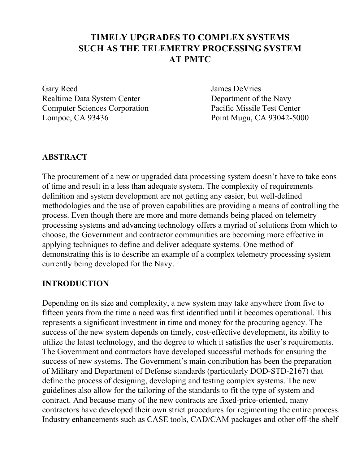# **TIMELY UPGRADES TO COMPLEX SYSTEMS SUCH AS THE TELEMETRY PROCESSING SYSTEM AT PMTC**

Gary Reed James DeVries Realtime Data System Center Department of the Navy Computer Sciences Corporation Pacific Missile Test Center Lompoc, CA 93436 Point Mugu, CA 93042-5000

## **ABSTRACT**

The procurement of a new or upgraded data processing system doesn't have to take eons of time and result in a less than adequate system. The complexity of requirements definition and system development are not getting any easier, but well-defined methodologies and the use of proven capabilities are providing a means of controlling the process. Even though there are more and more demands being placed on telemetry processing systems and advancing technology offers a myriad of solutions from which to choose, the Government and contractor communities are becoming more effective in applying techniques to define and deliver adequate systems. One method of demonstrating this is to describe an example of a complex telemetry processing system currently being developed for the Navy.

## **INTRODUCTION**

Depending on its size and complexity, a new system may take anywhere from five to fifteen years from the time a need was first identified until it becomes operational. This represents a significant investment in time and money for the procuring agency. The success of the new system depends on timely, cost-effective development, its ability to utilize the latest technology, and the degree to which it satisfies the user's requirements. The Government and contractors have developed successful methods for ensuring the success of new systems. The Government's main contribution has been the preparation of Military and Department of Defense standards (particularly DOD-STD-2167) that define the process of designing, developing and testing complex systems. The new guidelines also allow for the tailoring of the standards to fit the type of system and contract. And because many of the new contracts are fixed-price-oriented, many contractors have developed their own strict procedures for regimenting the entire process. Industry enhancements such as CASE tools, CAD/CAM packages and other off-the-shelf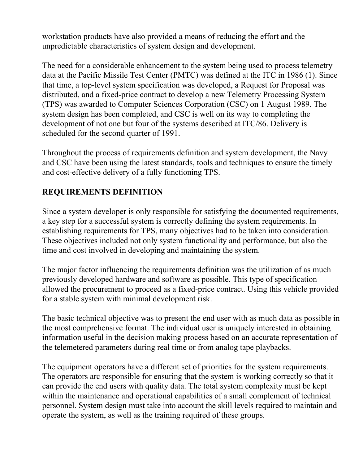workstation products have also provided a means of reducing the effort and the unpredictable characteristics of system design and development.

The need for a considerable enhancement to the system being used to process telemetry data at the Pacific Missile Test Center (PMTC) was defined at the ITC in 1986 (1). Since that time, a top-level system specification was developed, a Request for Proposal was distributed, and a fixed-price contract to develop a new Telemetry Processing System (TPS) was awarded to Computer Sciences Corporation (CSC) on 1 August 1989. The system design has been completed, and CSC is well on its way to completing the development of not one but four of the systems described at ITC/86. Delivery is scheduled for the second quarter of 1991.

Throughout the process of requirements definition and system development, the Navy and CSC have been using the latest standards, tools and techniques to ensure the timely and cost-effective delivery of a fully functioning TPS.

## **REQUIREMENTS DEFINITION**

Since a system developer is only responsible for satisfying the documented requirements, a key step for a successful system is correctly defining the system requirements. In establishing requirements for TPS, many objectives had to be taken into consideration. These objectives included not only system functionality and performance, but also the time and cost involved in developing and maintaining the system.

The major factor influencing the requirements definition was the utilization of as much previously developed hardware and software as possible. This type of specification allowed the procurement to proceed as a fixed-price contract. Using this vehicle provided for a stable system with minimal development risk.

The basic technical objective was to present the end user with as much data as possible in the most comprehensive format. The individual user is uniquely interested in obtaining information useful in the decision making process based on an accurate representation of the telemetered parameters during real time or from analog tape playbacks.

The equipment operators have a different set of priorities for the system requirements. The operators arc responsible for ensuring that the system is working correctly so that it can provide the end users with quality data. The total system complexity must be kept within the maintenance and operational capabilities of a small complement of technical personnel. System design must take into account the skill levels required to maintain and operate the system, as well as the training required of these groups.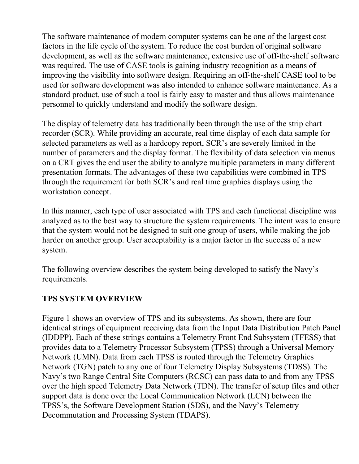The software maintenance of modern computer systems can be one of the largest cost factors in the life cycle of the system. To reduce the cost burden of original software development, as well as the software maintenance, extensive use of off-the-shelf software was required. The use of CASE tools is gaining industry recognition as a means of improving the visibility into software design. Requiring an off-the-shelf CASE tool to be used for software development was also intended to enhance software maintenance. As a standard product, use of such a tool is fairly easy to master and thus allows maintenance personnel to quickly understand and modify the software design.

The display of telemetry data has traditionally been through the use of the strip chart recorder (SCR). While providing an accurate, real time display of each data sample for selected parameters as well as a hardcopy report, SCR's are severely limited in the number of parameters and the display format. The flexibility of data selection via menus on a CRT gives the end user the ability to analyze multiple parameters in many different presentation formats. The advantages of these two capabilities were combined in TPS through the requirement for both SCR's and real time graphics displays using the workstation concept.

In this manner, each type of user associated with TPS and each functional discipline was analyzed as to the best way to structure the system requirements. The intent was to ensure that the system would not be designed to suit one group of users, while making the job harder on another group. User acceptability is a major factor in the success of a new system.

The following overview describes the system being developed to satisfy the Navy's requirements.

## **TPS SYSTEM OVERVIEW**

Figure 1 shows an overview of TPS and its subsystems. As shown, there are four identical strings of equipment receiving data from the Input Data Distribution Patch Panel (IDDPP). Each of these strings contains a Telemetry Front End Subsystem (TFESS) that provides data to a Telemetry Processor Subsystem (TPSS) through a Universal Memory Network (UMN). Data from each TPSS is routed through the Telemetry Graphics Network (TGN) patch to any one of four Telemetry Display Subsystems (TDSS). The Navy's two Range Central Site Computers (RCSC) can pass data to and from any TPSS over the high speed Telemetry Data Network (TDN). The transfer of setup files and other support data is done over the Local Communication Network (LCN) between the TPSS's, the Software Development Station (SDS), and the Navy's Telemetry Decommutation and Processing System (TDAPS).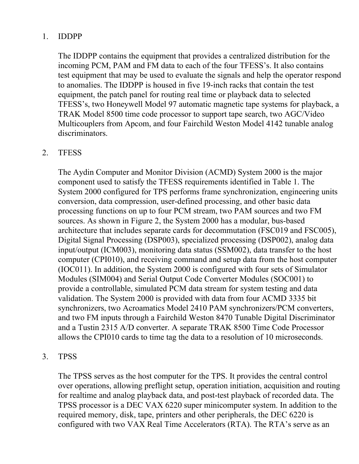## 1. IDDPP

The IDDPP contains the equipment that provides a centralized distribution for the incoming PCM, PAM and FM data to each of the four TFESS's. It also contains test equipment that may be used to evaluate the signals and help the operator respond to anomalies. The IDDPP is housed in five 19-inch racks that contain the test equipment, the patch panel for routing real time or playback data to selected TFESS's, two Honeywell Model 97 automatic magnetic tape systems for playback, a TRAK Model 8500 time code processor to support tape search, two AGC/Video Multicouplers from Apcom, and four Fairchild Weston Model 4142 tunable analog discriminators.

#### 2. TFESS

The Aydin Computer and Monitor Division (ACMD) System 2000 is the major component used to satisfy the TFESS requirements identified in Table 1. The System 2000 configured for TPS performs frame synchronization, engineering units conversion, data compression, user-defined processing, and other basic data processing functions on up to four PCM stream, two PAM sources and two FM sources. As shown in Figure 2, the System 2000 has a modular, bus-based architecture that includes separate cards for decommutation (FSC019 and FSC005), Digital Signal Processing (DSP003), specialized processing (DSP002), analog data input/output (ICM003), monitoring data status (SSM002), data transfer to the host computer (CPI010), and receiving command and setup data from the host computer (IOC011). In addition, the System 2000 is configured with four sets of Simulator Modules (SIM004) and Serial Output Code Converter Modules (SOC001) to provide a controllable, simulated PCM data stream for system testing and data validation. The System 2000 is provided with data from four ACMD 3335 bit synchronizers, two Acroamatics Model 2410 PAM synchronizers/PCM converters, and two FM inputs through a Fairchild Weston 8470 Tunable Digital Discriminator and a Tustin 2315 A/D converter. A separate TRAK 8500 Time Code Processor allows the CPI010 cards to time tag the data to a resolution of 10 microseconds.

#### 3. TPSS

The TPSS serves as the host computer for the TPS. It provides the central control over operations, allowing preflight setup, operation initiation, acquisition and routing for realtime and analog playback data, and post-test playback of recorded data. The TPSS processor is a DEC VAX 6220 super minicomputer system. In addition to the required memory, disk, tape, printers and other peripherals, the DEC 6220 is configured with two VAX Real Time Accelerators (RTA). The RTA's serve as an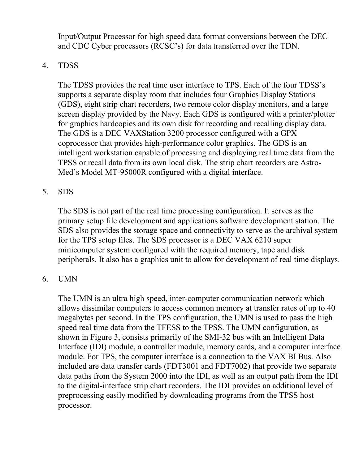Input/Output Processor for high speed data format conversions between the DEC and CDC Cyber processors (RCSC's) for data transferred over the TDN.

## 4. TDSS

The TDSS provides the real time user interface to TPS. Each of the four TDSS's supports a separate display room that includes four Graphics Display Stations (GDS), eight strip chart recorders, two remote color display monitors, and a large screen display provided by the Navy. Each GDS is configured with a printer/plotter for graphics hardcopies and its own disk for recording and recalling display data. The GDS is a DEC VAXStation 3200 processor configured with a GPX coprocessor that provides high-performance color graphics. The GDS is an intelligent workstation capable of processing and displaying real time data from the TPSS or recall data from its own local disk. The strip chart recorders are Astro-Med's Model MT-95000R configured with a digital interface.

#### 5. SDS

The SDS is not part of the real time processing configuration. It serves as the primary setup file development and applications software development station. The SDS also provides the storage space and connectivity to serve as the archival system for the TPS setup files. The SDS processor is a DEC VAX 6210 super minicomputer system configured with the required memory, tape and disk peripherals. It also has a graphics unit to allow for development of real time displays.

#### 6. UMN

The UMN is an ultra high speed, inter-computer communication network which allows dissimilar computers to access common memory at transfer rates of up to 40 megabytes per second. In the TPS configuration, the UMN is used to pass the high speed real time data from the TFESS to the TPSS. The UMN configuration, as shown in Figure 3, consists primarily of the SMI-32 bus with an Intelligent Data Interface (IDI) module, a controller module, memory cards, and a computer interface module. For TPS, the computer interface is a connection to the VAX BI Bus. Also included are data transfer cards (FDT3001 and FDT7002) that provide two separate data paths from the System 2000 into the IDI, as well as an output path from the IDI to the digital-interface strip chart recorders. The IDI provides an additional level of preprocessing easily modified by downloading programs from the TPSS host processor.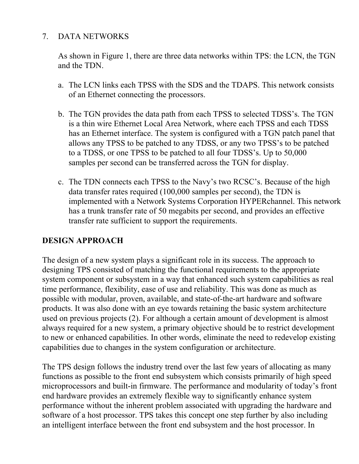## 7. DATA NETWORKS

As shown in Figure 1, there are three data networks within TPS: the LCN, the TGN and the TDN.

- a. The LCN links each TPSS with the SDS and the TDAPS. This network consists of an Ethernet connecting the processors.
- b. The TGN provides the data path from each TPSS to selected TDSS's. The TGN is a thin wire Ethernet Local Area Network, where each TPSS and each TDSS has an Ethernet interface. The system is configured with a TGN patch panel that allows any TPSS to be patched to any TDSS, or any two TPSS's to be patched to a TDSS, or one TPSS to be patched to all four TDSS's. Up to 50,000 samples per second can be transferred across the TGN for display.
- c. The TDN connects each TPSS to the Navy's two RCSC's. Because of the high data transfer rates required (100,000 samples per second), the TDN is implemented with a Network Systems Corporation HYPERchannel. This network has a trunk transfer rate of 50 megabits per second, and provides an effective transfer rate sufficient to support the requirements.

## **DESIGN APPROACH**

The design of a new system plays a significant role in its success. The approach to designing TPS consisted of matching the functional requirements to the appropriate system component or subsystem in a way that enhanced such system capabilities as real time performance, flexibility, ease of use and reliability. This was done as much as possible with modular, proven, available, and state-of-the-art hardware and software products. It was also done with an eye towards retaining the basic system architecture used on previous projects (2). For although a certain amount of development is almost always required for a new system, a primary objective should be to restrict development to new or enhanced capabilities. In other words, eliminate the need to redevelop existing capabilities due to changes in the system configuration or architecture.

The TPS design follows the industry trend over the last few years of allocating as many functions as possible to the front end subsystem which consists primarily of high speed microprocessors and built-in firmware. The performance and modularity of today's front end hardware provides an extremely flexible way to significantly enhance system performance without the inherent problem associated with upgrading the hardware and software of a host processor. TPS takes this concept one step further by also including an intelligent interface between the front end subsystem and the host processor. In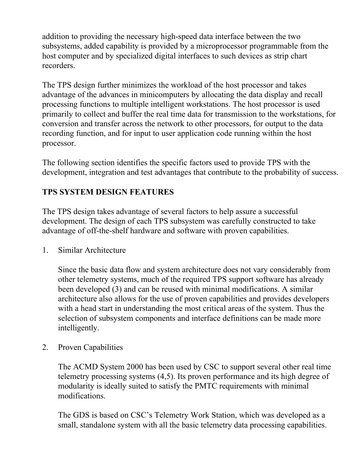addition to providing the necessary high-speed data interface between the two subsystems, added capability is provided by a microprocessor programmable from the host computer and by specialized digital interfaces to such devices as strip chart recorders.

The TPS design further minimizes the workload of the host processor and takes advantage of the advances in minicomputers by allocating the data display and recall processing functions to multiple intelligent workstations. The host processor is used primarily to collect and buffer the real time data for transmission to the workstations, for conversion and transfer across the network to other processors, for output to the data recording function, and for input to user application code running within the host processor.

The following section identifies the specific factors used to provide TPS with the development, integration and test advantages that contribute to the probability of success.

## **TPS SYSTEM DESIGN FEATURES**

The TPS design takes advantage of several factors to help assure a successful development. The design of each TPS subsystem was carefully constructed to take advantage of off-the-shelf hardware and software with proven capabilities.

1. Similar Architecture

Since the basic data flow and system architecture does not vary considerably from other telemetry systems, much of the required TPS support software has already been developed (3) and can be reused with minimal modifications. A similar architecture also allows for the use of proven capabilities and provides developers with a head start in understanding the most critical areas of the system. Thus the selection of subsystem components and interface definitions can be made more intelligently.

2. Proven Capabilities

The ACMD System 2000 has been used by CSC to support several other real time telemetry processing systems (4,5). Its proven performance and its high degree of modularity is ideally suited to satisfy the PMTC requirements with minimal modifications.

The GDS is based on CSC's Telemetry Work Station, which was developed as a small, standalone system with all the basic telemetry data processing capabilities.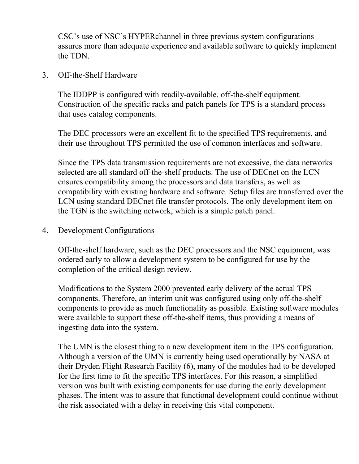CSC's use of NSC's HYPERchannel in three previous system configurations assures more than adequate experience and available software to quickly implement the TDN.

#### 3. Off-the-Shelf Hardware

The IDDPP is configured with readily-available, off-the-shelf equipment. Construction of the specific racks and patch panels for TPS is a standard process that uses catalog components.

The DEC processors were an excellent fit to the specified TPS requirements, and their use throughout TPS permitted the use of common interfaces and software.

Since the TPS data transmission requirements are not excessive, the data networks selected are all standard off-the-shelf products. The use of DECnet on the LCN ensures compatibility among the processors and data transfers, as well as compatibility with existing hardware and software. Setup files are transferred over the LCN using standard DECnet file transfer protocols. The only development item on the TGN is the switching network, which is a simple patch panel.

4. Development Configurations

Off-the-shelf hardware, such as the DEC processors and the NSC equipment, was ordered early to allow a development system to be configured for use by the completion of the critical design review.

Modifications to the System 2000 prevented early delivery of the actual TPS components. Therefore, an interim unit was configured using only off-the-shelf components to provide as much functionality as possible. Existing software modules were available to support these off-the-shelf items, thus providing a means of ingesting data into the system.

The UMN is the closest thing to a new development item in the TPS configuration. Although a version of the UMN is currently being used operationally by NASA at their Dryden Flight Research Facility (6), many of the modules had to be developed for the first time to fit the specific TPS interfaces. For this reason, a simplified version was built with existing components for use during the early development phases. The intent was to assure that functional development could continue without the risk associated with a delay in receiving this vital component.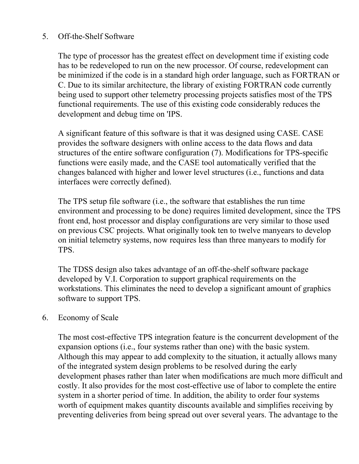## 5. Off-the-Shelf Software

The type of processor has the greatest effect on development time if existing code has to be redeveloped to run on the new processor. Of course, redevelopment can be minimized if the code is in a standard high order language, such as FORTRAN or C. Due to its similar architecture, the library of existing FORTRAN code currently being used to support other telemetry processing projects satisfies most of the TPS functional requirements. The use of this existing code considerably reduces the development and debug time on 'IPS.

A significant feature of this software is that it was designed using CASE. CASE provides the software designers with online access to the data flows and data structures of the entire software configuration (7). Modifications for TPS-specific functions were easily made, and the CASE tool automatically verified that the changes balanced with higher and lower level structures (i.e., functions and data interfaces were correctly defined).

The TPS setup file software (i.e., the software that establishes the run time environment and processing to be done) requires limited development, since the TPS front end, host processor and display configurations are very similar to those used on previous CSC projects. What originally took ten to twelve manyears to develop on initial telemetry systems, now requires less than three manyears to modify for TPS.

The TDSS design also takes advantage of an off-the-shelf software package developed by V.I. Corporation to support graphical requirements on the workstations. This eliminates the need to develop a significant amount of graphics software to support TPS.

#### 6. Economy of Scale

The most cost-effective TPS integration feature is the concurrent development of the expansion options (i.e., four systems rather than one) with the basic system. Although this may appear to add complexity to the situation, it actually allows many of the integrated system design problems to be resolved during the early development phases rather than later when modifications are much more difficult and costly. It also provides for the most cost-effective use of labor to complete the entire system in a shorter period of time. In addition, the ability to order four systems worth of equipment makes quantity discounts available and simplifies receiving by preventing deliveries from being spread out over several years. The advantage to the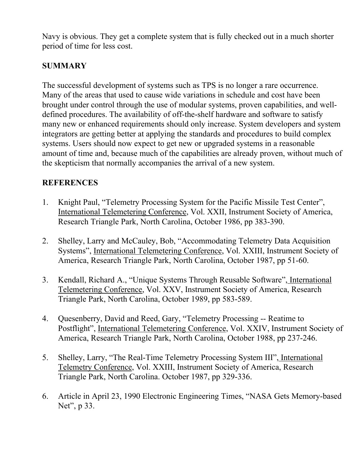Navy is obvious. They get a complete system that is fully checked out in a much shorter period of time for less cost.

## **SUMMARY**

The successful development of systems such as TPS is no longer a rare occurrence. Many of the areas that used to cause wide variations in schedule and cost have been brought under control through the use of modular systems, proven capabilities, and welldefined procedures. The availability of off-the-shelf hardware and software to satisfy many new or enhanced requirements should only increase. System developers and system integrators are getting better at applying the standards and procedures to build complex systems. Users should now expect to get new or upgraded systems in a reasonable amount of time and, because much of the capabilities are already proven, without much of the skepticism that normally accompanies the arrival of a new system.

#### **REFERENCES**

- 1. Knight Paul, "Telemetry Processing System for the Pacific Missile Test Center", International Telemetering Conference, Vol. XXII, Instrument Society of America, Research Triangle Park, North Carolina, October 1986, pp 383-390.
- 2. Shelley, Larry and McCauley, Bob, "Accommodating Telemetry Data Acquisition Systems", International Telemetering Conference, Vol. XXIII, Instrument Society of America, Research Triangle Park, North Carolina, October 1987, pp 51-60.
- 3. Kendall, Richard A., "Unique Systems Through Reusable Software", International Telemetering Conference, Vol. XXV, Instrument Society of America, Research Triangle Park, North Carolina, October 1989, pp 583-589.
- 4. Quesenberry, David and Reed, Gary, "Telemetry Processing -- Reatime to Postflight", International Telemetering Conference, Vol. XXIV, Instrument Society of America, Research Triangle Park, North Carolina, October 1988, pp 237-246.
- 5. Shelley, Larry, "The Real-Time Telemetry Processing System III", International Telemetry Conference, Vol. XXIII, Instrument Society of America, Research Triangle Park, North Carolina. October 1987, pp 329-336.
- 6. Article in April 23, 1990 Electronic Engineering Times, "NASA Gets Memory-based Net", p 33.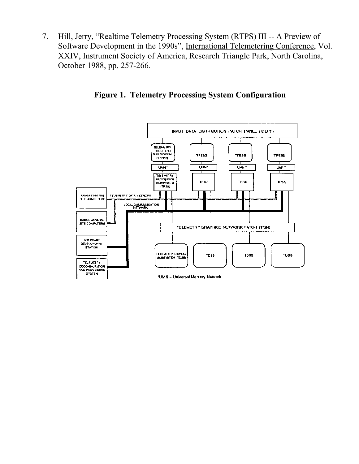7. Hill, Jerry, "Realtime Telemetry Processing System (RTPS) III -- A Preview of Software Development in the 1990s", International Telemetering Conference, Vol. XXIV, Instrument Society of America, Research Triangle Park, North Carolina, October 1988, pp, 257-266.



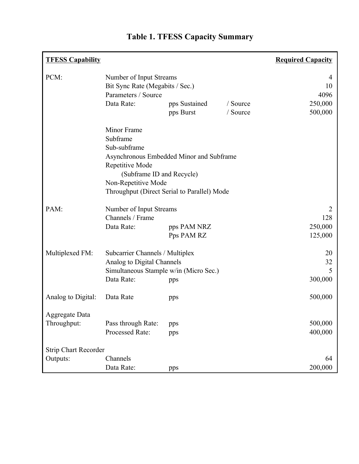| <b>TFESS Capability</b>     |                                                            |                            |          | <b>Required Capacity</b> |
|-----------------------------|------------------------------------------------------------|----------------------------|----------|--------------------------|
| PCM:                        | Number of Input Streams<br>Bit Sync Rate (Megabits / Sec.) |                            |          | 4                        |
|                             |                                                            |                            |          | 10                       |
|                             | Parameters / Source<br>Data Rate:<br>/ Source              |                            |          | 4096                     |
|                             |                                                            | pps Sustained<br>pps Burst | / Source | 250,000<br>500,000       |
|                             |                                                            |                            |          |                          |
|                             | Minor Frame                                                |                            |          |                          |
|                             | Subframe                                                   |                            |          |                          |
|                             | Sub-subframe                                               |                            |          |                          |
|                             | Asynchronous Embedded Minor and Subframe                   |                            |          |                          |
|                             | Repetitive Mode<br>(Subframe ID and Recycle)               |                            |          |                          |
|                             |                                                            |                            |          |                          |
|                             | Non-Repetitive Mode                                        |                            |          |                          |
|                             | Throughput (Direct Serial to Parallel) Mode                |                            |          |                          |
| PAM:                        | Number of Input Streams                                    |                            |          | 2                        |
|                             | Channels / Frame                                           |                            |          | 128                      |
|                             | Data Rate:                                                 | pps PAM NRZ                |          | 250,000                  |
|                             |                                                            | Pps PAM RZ                 |          | 125,000                  |
| Multiplexed FM:             | Subcarrier Channels / Multiplex                            |                            |          | 20                       |
|                             | Analog to Digital Channels                                 |                            |          | 32                       |
|                             | Simultaneous Stample w/in (Micro Sec.)                     |                            |          | 5                        |
|                             | Data Rate:                                                 | pps                        |          | 300,000                  |
| Analog to Digital:          | Data Rate                                                  | pps                        |          | 500,000                  |
| Aggregate Data              |                                                            |                            |          |                          |
| Throughput:                 | Pass through Rate:                                         | pps                        |          | 500,000                  |
|                             | Processed Rate:                                            | pps                        |          | 400,000                  |
| <b>Strip Chart Recorder</b> |                                                            |                            |          |                          |
| Outputs:                    | Channels                                                   |                            |          | 64                       |
|                             | Data Rate:                                                 | pps                        |          | 200,000                  |

# **Table 1. TFESS Capacity Summary**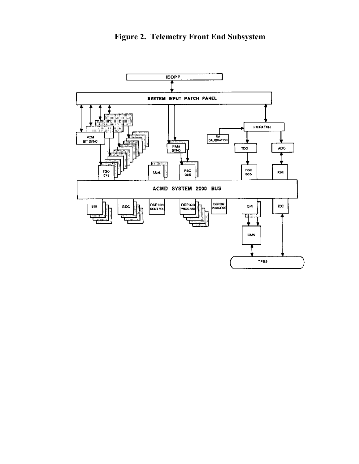